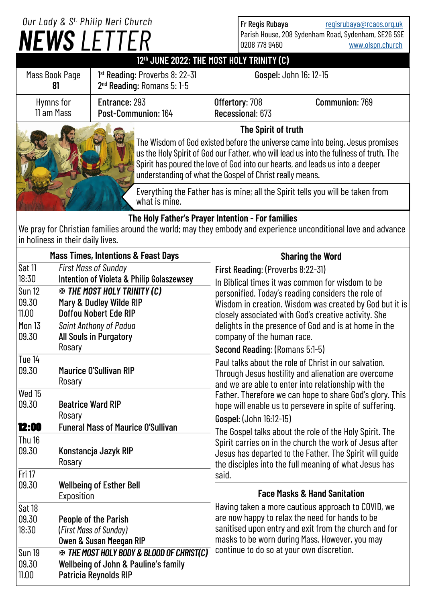# *NEWS LETTER Our Lady & S t. Philip Neri Church*

Fr Regis Rubaya [regisrubaya@rcaos.org.uk](mailto:regisrubaya@rcaos.org.uk) Parish House, 208 Sydenham Road, Sydenham, SE26 5SE 0208 778 9460 [www.olspn.church](http://www.olspn.church)

## **12th JUNE 2022: THE MOST HOLY TRINITY (C)**

| Mass Book Page          | 1 <sup>st</sup> Reading: Proverbs 8: 22-31<br>2 <sup>nd</sup> Reading: Romans 5: 1-5                 |                                    | Gospel: John 16: 12-15 |
|-------------------------|------------------------------------------------------------------------------------------------------|------------------------------------|------------------------|
| Hymns for<br>11 am Mass | Entrance: 293<br>Post-Communion: 164                                                                 | Offertory: 708<br>Recessional: 673 | <b>Communion: 769</b>  |
|                         | The Spirit of truth<br>The Wisdom of God existed before the universe came into being. Jesus promises |                                    |                        |

us the Holy Spirit of God our Father, who will lead us into the fullness of truth. The Spirit has poured the love of God into our hearts, and leads us into a deeper understanding of what the Gospel of Christ really means.

Everything the Father has is mine; all the Spirit tells you will be taken from what is mine.

## **The Holy Father's Prayer Intention - For families**

We pray for Christian families around the world; may they embody and experience unconditional love and advance in holiness in their daily lives.

| <b>Mass Times, Intentions &amp; Feast Days</b> |                                                                                                                         | <b>Sharing the Word</b>                                                                                                                                                                                                                                                                    |  |
|------------------------------------------------|-------------------------------------------------------------------------------------------------------------------------|--------------------------------------------------------------------------------------------------------------------------------------------------------------------------------------------------------------------------------------------------------------------------------------------|--|
| Sat 11                                         | <b>First Mass of Sunday</b>                                                                                             | First Reading: (Proverbs 8:22-31)                                                                                                                                                                                                                                                          |  |
| 18:30<br><b>Sun 12</b>                         | <b>Intention of Violeta &amp; Philip Golaszewsey</b><br><b>EX THE MOST HOLY TRINITY (C)</b>                             | In Biblical times it was common for wisdom to be<br>personified. Today's reading considers the role of                                                                                                                                                                                     |  |
| 09.30                                          | Mary & Dudley Wilde RIP                                                                                                 | Wisdom in creation. Wisdom was created by God but it is                                                                                                                                                                                                                                    |  |
| 11.00                                          | Doffou Nobert Ede RIP                                                                                                   | closely associated with God's creative activity. She                                                                                                                                                                                                                                       |  |
| <b>Mon 13</b><br>09.30                         | <b>Saint Anthony of Padua</b><br><b>All Souls in Purgatory</b>                                                          | delights in the presence of God and is at home in the<br>company of the human race.                                                                                                                                                                                                        |  |
|                                                | Rosary                                                                                                                  | Second Reading: (Romans 5:1-5)                                                                                                                                                                                                                                                             |  |
| Tue 14<br>09.30                                | <b>Maurice O'Sullivan RIP</b><br>Rosary                                                                                 | Paul talks about the role of Christ in our salvation.<br>Through Jesus hostility and alienation are overcome<br>and we are able to enter into relationship with the<br>Father. Therefore we can hope to share God's glory. This<br>hope will enable us to persevere in spite of suffering. |  |
| Wed 15<br>09.30                                | <b>Beatrice Ward RIP</b><br>Rosary                                                                                      |                                                                                                                                                                                                                                                                                            |  |
| 12:00                                          | <b>Funeral Mass of Maurice O'Sullivan</b>                                                                               | Gospel: (John 16:12-15)                                                                                                                                                                                                                                                                    |  |
| Thu 16<br>09.30                                | Konstancja Jazyk RIP<br>Rosary                                                                                          | The Gospel talks about the role of the Holy Spirit. The<br>Spirit carries on in the church the work of Jesus after<br>Jesus has departed to the Father. The Spirit will quide<br>the disciples into the full meaning of what Jesus has                                                     |  |
| Fri 17                                         |                                                                                                                         | said.                                                                                                                                                                                                                                                                                      |  |
| 09.30                                          | <b>Wellbeing of Esther Bell</b><br>Exposition                                                                           | <b>Face Masks &amp; Hand Sanitation</b>                                                                                                                                                                                                                                                    |  |
| Sat 18                                         |                                                                                                                         | Having taken a more cautious approach to COVID, we                                                                                                                                                                                                                                         |  |
| 09.30                                          | People of the Parish                                                                                                    | are now happy to relax the need for hands to be<br>sanitised upon entry and exit from the church and for                                                                                                                                                                                   |  |
| 18:30                                          | (First Mass of Sunday)<br><b>Owen &amp; Susan Meegan RIP</b>                                                            | masks to be worn during Mass. However, you may                                                                                                                                                                                                                                             |  |
| <b>Sun 19</b><br>09.30<br>11.00                | <b>EXAMPLE MOST HOLY BODY &amp; BLOOD OF CHRIST(C)</b><br>Wellbeing of John & Pauline's family<br>Patricia Reynolds RIP | continue to do so at your own discretion.                                                                                                                                                                                                                                                  |  |